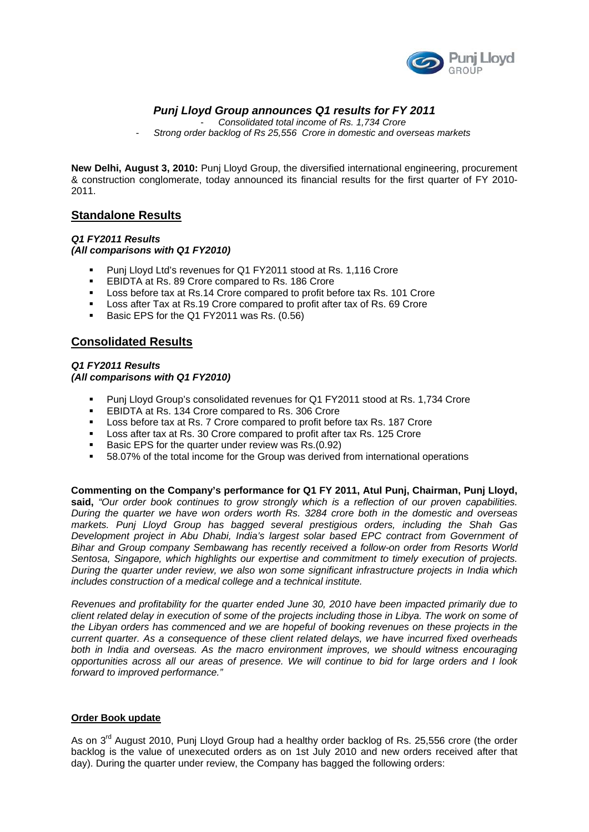

# *Punj Lloyd Group announces Q1 results for FY 2011*

- *Consolidated total income of Rs. 1,734 Crore* 

- *Strong order backlog of Rs 25,556 Crore in domestic and overseas markets* 

**New Delhi, August 3, 2010:** Punj Lloyd Group, the diversified international engineering, procurement & construction conglomerate, today announced its financial results for the first quarter of FY 2010- 2011.

## **Standalone Results**

### *Q1 FY2011 Results (All comparisons with Q1 FY2010)*

- Punj Lloyd Ltd's revenues for Q1 FY2011 stood at Rs. 1,116 Crore
- EBIDTA at Rs. 89 Crore compared to Rs. 186 Crore
- Loss before tax at Rs.14 Crore compared to profit before tax Rs. 101 Crore
- Loss after Tax at Rs.19 Crore compared to profit after tax of Rs. 69 Crore
- Basic EPS for the Q1 FY2011 was Rs. (0.56)

## **Consolidated Results**

*Q1 FY2011 Results (All comparisons with Q1 FY2010)*

- Punj Lloyd Group's consolidated revenues for Q1 FY2011 stood at Rs. 1,734 Crore
- **EBIDTA at Rs. 134 Crore compared to Rs. 306 Crore**
- Loss before tax at Rs. 7 Crore compared to profit before tax Rs. 187 Crore
- **Loss after tax at Rs. 30 Crore compared to profit after tax Rs. 125 Crore**
- Basic EPS for the quarter under review was Rs.(0.92)
- 58.07% of the total income for the Group was derived from international operations

**Commenting on the Company's performance for Q1 FY 2011, Atul Punj, Chairman, Punj Lloyd, said,** *"Our order book continues to grow strongly which is a reflection of our proven capabilities. During the quarter we have won orders worth Rs. 3284 crore both in the domestic and overseas markets. Punj Lloyd Group has bagged several prestigious orders, including the Shah Gas Development project in Abu Dhabi, India's largest solar based EPC contract from Government of Bihar and Group company Sembawang has recently received a follow-on order from Resorts World Sentosa, Singapore, which highlights our expertise and commitment to timely execution of projects. During the quarter under review, we also won some significant infrastructure projects in India which includes construction of a medical college and a technical institute.* 

*Revenues and profitability for the quarter ended June 30, 2010 have been impacted primarily due to client related delay in execution of some of the projects including those in Libya. The work on some of the Libyan orders has commenced and we are hopeful of booking revenues on these projects in the current quarter. As a consequence of these client related delays, we have incurred fixed overheads both in India and overseas. As the macro environment improves, we should witness encouraging opportunities across all our areas of presence. We will continue to bid for large orders and I look forward to improved performance."* 

### **Order Book update**

As on 3<sup>rd</sup> August 2010, Punj Lloyd Group had a healthy order backlog of Rs. 25,556 crore (the order backlog is the value of unexecuted orders as on 1st July 2010 and new orders received after that day). During the quarter under review, the Company has bagged the following orders: